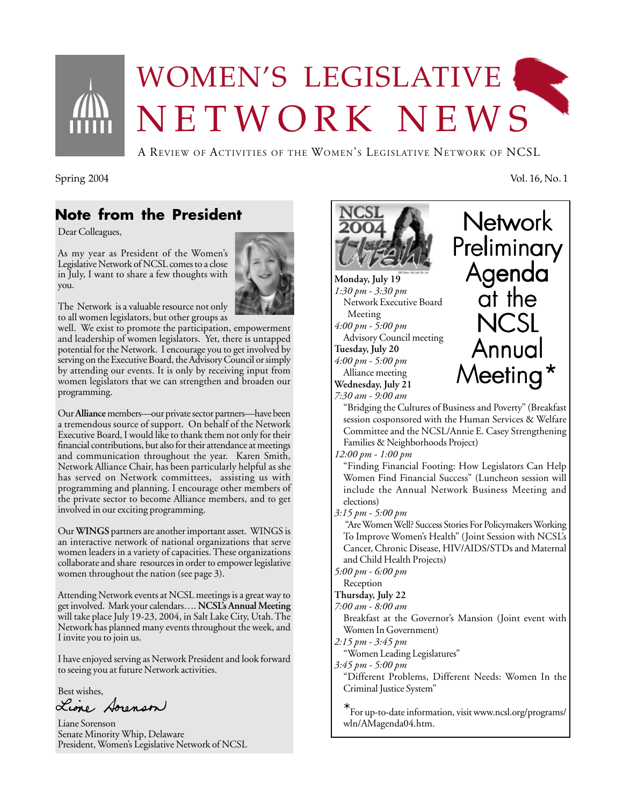

# WOMEN'S LEGISLATIVE NETWORK NEWS

A REVIEW OF ACTIVITIES OF THE WOMEN'S LEGISLATIVE NETWORK OF NCSL

Spring 2004 Vol. 16, No. 1

### **Note from the President**

Dear Colleagues,

As my year as President of the Women's Legislative Network of NCSL comes to a close in July, I want to share a few thoughts with you.



The Network is a valuable resource not only to all women legislators, but other groups as

well. We exist to promote the participation, empowerment and leadership of women legislators. Yet, there is untapped potential for the Network. I encourage you to get involved by serving on the Executive Board, the Advisory Council or simply by attending our events. It is only by receiving input from women legislators that we can strengthen and broaden our programming.

Our **Alliance** members—our private sector partners—have been a tremendous source of support. On behalf of the Network Executive Board, I would like to thank them not only for their financial contributions, but also for their attendance at meetings and communication throughout the year. Karen Smith, Network Alliance Chair, has been particularly helpful as she has served on Network committees, assisting us with programming and planning. I encourage other members of the private sector to become Alliance members, and to get involved in our exciting programming.

Our **WINGS** partners are another important asset. WINGS is an interactive network of national organizations that serve women leaders in a variety of capacities. These organizations collaborate and share resources in order to empower legislative women throughout the nation (see page 3).

Attending Network events at NCSL meetings is a great way to get involved. Mark your calendars…. **NCSL's Annual Meeting** will take place July 19-23, 2004, in Salt Lake City, Utah. The Network has planned many events throughout the week, and I invite you to join us.

I have enjoyed serving as Network President and look forward to seeing you at future Network activities.

Best wishes,<br>Lione Aorenson

Liane Sorenson Senate Minority Whip, Delaware President, Women's Legislative Network of NCSL



**Monday, July 19** *1:30 pm - 3:30 pm* Network Executive Board Meeting *4:00 pm - 5:00 pm* Advisory Council meeting **Tuesday, July 20** *4:00 pm - 5:00 pm* Alliance meeting **Wednesday, July 21** *7:30 am - 9:00 am*



"Bridging the Cultures of Business and Poverty" (Breakfast session cosponsored with the Human Services & Welfare Committee and the NCSL/Annie E. Casey Strengthening Families & Neighborhoods Project)

*12:00 pm - 1:00 pm*

"Finding Financial Footing: How Legislators Can Help Women Find Financial Success" (Luncheon session will include the Annual Network Business Meeting and elections)

*3:15 pm - 5:00 pm*

 "Are Women Well? Success Stories For Policymakers Working To Improve Women's Health" (Joint Session with NCSL's Cancer, Chronic Disease, HIV/AIDS/STDs and Maternal and Child Health Projects)

*5:00 pm - 6:00 pm*

Reception

**Thursday, July 22**

*7:00 am - 8:00 am*

Breakfast at the Governor's Mansion (Joint event with Women In Government)

*2:15 pm - 3:45 pm*

"Women Leading Legislatures"

*3:45 pm - 5:00 pm*

"Different Problems, Different Needs: Women In the Criminal Justice System"

\*For up-to-date information, visit www.ncsl.org/programs/ wln/AMagenda04.htm.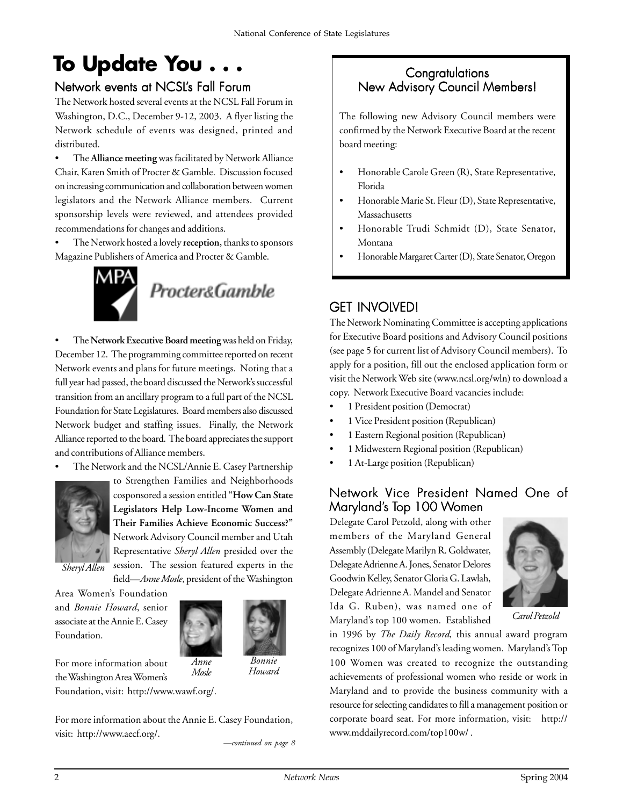# **To Update You . . .**

#### Network events at NCSL's Fall Forum

The Network hosted several events at the NCSL Fall Forum in Washington, D.C., December 9-12, 2003. A flyer listing the Network schedule of events was designed, printed and distributed.

• The **Alliance meeting** was facilitated by Network Alliance Chair, Karen Smith of Procter & Gamble. Discussion focused on increasing communication and collaboration between women legislators and the Network Alliance members. Current sponsorship levels were reviewed, and attendees provided recommendations for changes and additions.

• The Network hosted a lovely **reception,** thanks to sponsors Magazine Publishers of America and Procter & Gamble.



• The **Network Executive Board meeting** was held on Friday, December 12. The programming committee reported on recent Network events and plans for future meetings. Noting that a full year had passed, the board discussed the Network's successful transition from an ancillary program to a full part of the NCSL Foundation for State Legislatures. Board members also discussed Network budget and staffing issues. Finally, the Network Alliance reported to the board. The board appreciates the support and contributions of Alliance members.

The Network and the NCSL/Annie E. Casey Partnership



to Strengthen Families and Neighborhoods cosponsored a session entitled **"How Can State Legislators Help Low-Income Women and Their Families Achieve Economic Success?"** Network Advisory Council member and Utah Representative *Sheryl Allen* presided over the session. The session featured experts in the field—*Anne Mosle*, president of the Washington

*Sheryl Allen*

Area Women's Foundation and *Bonnie Howard*, senior associate at the Annie E. Casey Foundation.



*Mosle*

For more information about the Washington Area Women's Foundation, visit: http://www.wawf.org/.

*Bonnie Howard*

For more information about the Annie E. Casey Foundation, visit: http://www.aecf.org/.

*—continued on page 8*

#### **Congratulations** New Advisory Council Members!

The following new Advisory Council members were confirmed by the Network Executive Board at the recent board meeting:

- Honorable Carole Green (R), State Representative, Florida
- Honorable Marie St. Fleur (D), State Representative, Massachusetts
- Honorable Trudi Schmidt (D), State Senator, Montana
- Honorable Margaret Carter (D), State Senator, Oregon

### **GET INVOLVED!**

The Network Nominating Committee is accepting applications for Executive Board positions and Advisory Council positions (see page 5 for current list of Advisory Council members). To apply for a position, fill out the enclosed application form or visit the Network Web site (www.ncsl.org/wln) to download a copy. Network Executive Board vacancies include:

- 1 President position (Democrat)
- 1 Vice President position (Republican)
- 1 Eastern Regional position (Republican)
- 1 Midwestern Regional position (Republican)
- 1 At-Large position (Republican)

#### Network Vice President Named One of Maryland's Top 100 Women

Delegate Carol Petzold, along with other members of the Maryland General Assembly (Delegate Marilyn R. Goldwater, Delegate Adrienne A. Jones, Senator Delores Goodwin Kelley, Senator Gloria G. Lawlah, Delegate Adrienne A. Mandel and Senator Ida G. Ruben), was named one of Maryland's top 100 women. Established



*Carol Petzold*

in 1996 by *The Daily Record,* this annual award program recognizes 100 of Maryland's leading women. Maryland's Top 100 Women was created to recognize the outstanding achievements of professional women who reside or work in Maryland and to provide the business community with a resource for selecting candidates to fill a management position or corporate board seat. For more information, visit: http:// www.mddailyrecord.com/top100w/ .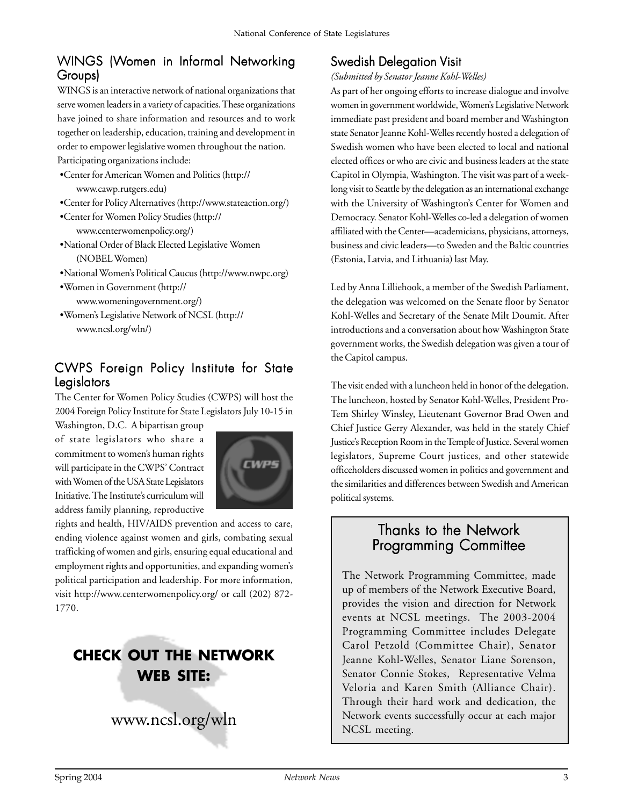#### WINGS (Women in Informal Networking Groups)

WINGS is an interactive network of national organizations that serve women leaders in a variety of capacities. These organizations have joined to share information and resources and to work together on leadership, education, training and development in order to empower legislative women throughout the nation.

Participating organizations include:

- •Center for American Women and Politics (http:// www.cawp.rutgers.edu)
- •Center for Policy Alternatives (http://www.stateaction.org/)
- •Center for Women Policy Studies (http:// www.centerwomenpolicy.org/)
- •National Order of Black Elected Legislative Women (NOBEL Women)
- •National Women's Political Caucus (http://www.nwpc.org)
- •Women in Government (http:// www.womeningovernment.org/)
- •Women's Legislative Network of NCSL (http:// www.ncsl.org/wln/)

#### CWPS Foreign Policy Institute for State Legislators

The Center for Women Policy Studies (CWPS) will host the 2004 Foreign Policy Institute for State Legislators July 10-15 in

Washington, D.C. A bipartisan group of state legislators who share a commitment to women's human rights will participate in the CWPS' Contract with Women of the USA State Legislators Initiative. The Institute's curriculum will address family planning, reproductive



rights and health, HIV/AIDS prevention and access to care, ending violence against women and girls, combating sexual trafficking of women and girls, ensuring equal educational and employment rights and opportunities, and expanding women's political participation and leadership. For more information, visit http://www.centerwomenpolicy.org/ or call (202) 872- 1770.

## **CHECK OUT THE NETWORK WEB SITE:**

www.ncsl.org/wln

### **Swedish Delegation Visit**

*(Submitted by Senator Jeanne Kohl-Welles)*

As part of her ongoing efforts to increase dialogue and involve women in government worldwide, Women's Legislative Network immediate past president and board member and Washington state Senator Jeanne Kohl-Welles recently hosted a delegation of Swedish women who have been elected to local and national elected offices or who are civic and business leaders at the state Capitol in Olympia, Washington. The visit was part of a weeklong visit to Seattle by the delegation as an international exchange with the University of Washington's Center for Women and Democracy. Senator Kohl-Welles co-led a delegation of women affiliated with the Center—academicians, physicians, attorneys, business and civic leaders—to Sweden and the Baltic countries (Estonia, Latvia, and Lithuania) last May.

Led by Anna Lilliehook, a member of the Swedish Parliament, the delegation was welcomed on the Senate floor by Senator Kohl-Welles and Secretary of the Senate Milt Doumit. After introductions and a conversation about how Washington State government works, the Swedish delegation was given a tour of the Capitol campus.

The visit ended with a luncheon held in honor of the delegation. The luncheon, hosted by Senator Kohl-Welles, President Pro-Tem Shirley Winsley, Lieutenant Governor Brad Owen and Chief Justice Gerry Alexander, was held in the stately Chief Justice's Reception Room in the Temple of Justice. Several women legislators, Supreme Court justices, and other statewide officeholders discussed women in politics and government and the similarities and differences between Swedish and American political systems.

#### Thanks to the Network Programming Committee

The Network Programming Committee, made up of members of the Network Executive Board, provides the vision and direction for Network events at NCSL meetings. The 2003-2004 Programming Committee includes Delegate Carol Petzold (Committee Chair), Senator Jeanne Kohl-Welles, Senator Liane Sorenson, Senator Connie Stokes, Representative Velma Veloria and Karen Smith (Alliance Chair). Through their hard work and dedication, the Network events successfully occur at each major NCSL meeting.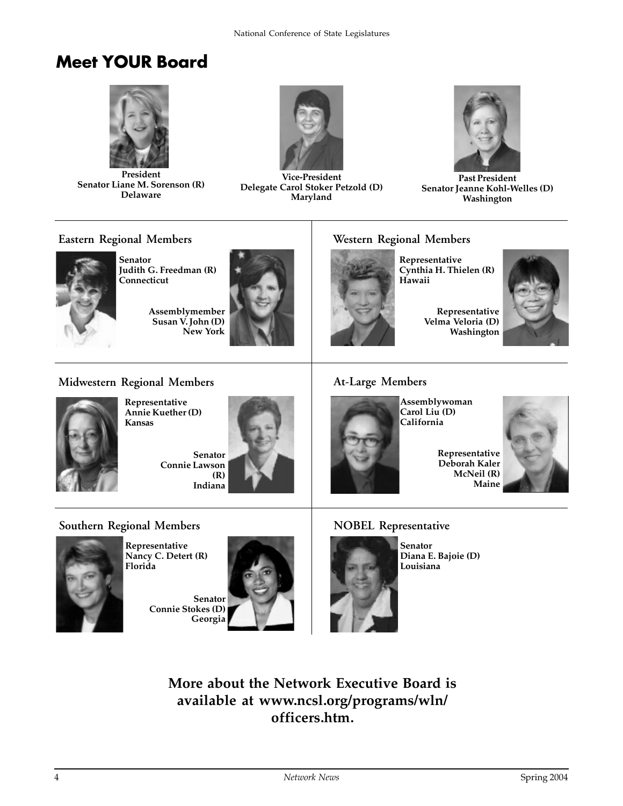## **Meet YOUR Board**



**President Senator Liane M. Sorenson (R) Delaware**



**Vice-President Delegate Carol Stoker Petzold (D) Maryland**



**Past President Senator Jeanne Kohl-Welles (D) Washington**

#### **Eastern Regional Members**



**Senator Judith G. Freedman (R) Connecticut**

**Assemblymember Susan V. John (D) New York**



#### **Western Regional Members**

**Representative Cynthia H. Thielen (R) Hawaii**



#### **Midwestern Regional Members**



**Representative Annie Kuether (D) Kansas**

**Senator Connie Lawson (R) Indiana**



#### **At-Large Members**



**Assemblywoman Carol Liu (D) California**



#### **Deborah Kaler McNeil (R) Maine**

#### **Southern Regional Members**



**Representative Nancy C. Detert (R) Florida**

> **Senator Connie Stokes (D) Georgia**



#### **NOBEL Representative**



**Senator Diana E. Bajoie (D) Louisiana**

#### **More about the Network Executive Board is available at www.ncsl.org/programs/wln/ officers.htm.**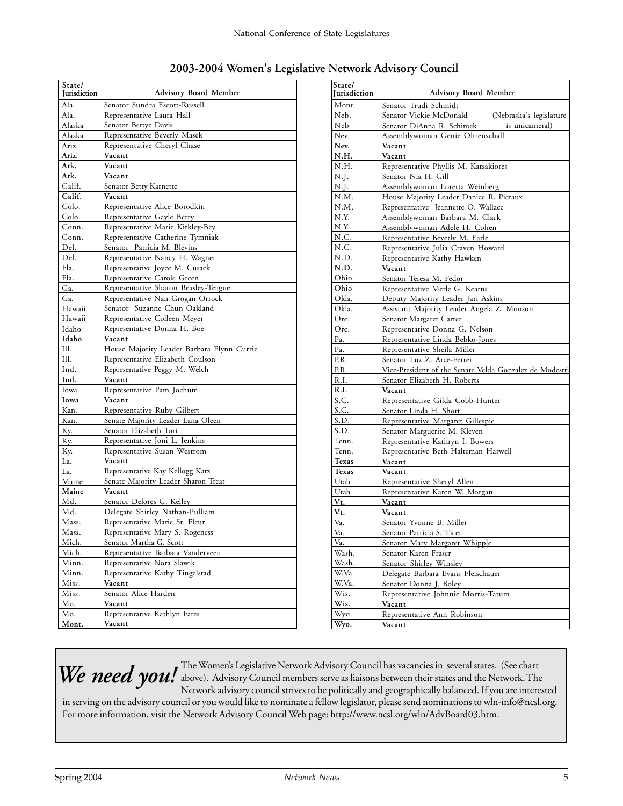| 2003-2004 Women's Legislative Network Advisory Council |  |  |  |
|--------------------------------------------------------|--|--|--|
|                                                        |  |  |  |

| State/<br>Jurisdiction | <b>Advisory Board Member</b>                                           |  |  |  |
|------------------------|------------------------------------------------------------------------|--|--|--|
| Ala.                   |                                                                        |  |  |  |
| Ala.                   | Senator Sundra Escott-Russell<br>Representative Laura Hall             |  |  |  |
| Alaska                 | Senator Bettye Davis                                                   |  |  |  |
| Alaska                 | Representative Beverly Masek                                           |  |  |  |
| Ariz.                  | Representative Cheryl Chase                                            |  |  |  |
| Ariz.                  | Vacant                                                                 |  |  |  |
| Ark.                   | Vacant                                                                 |  |  |  |
| Ark.                   | Vacant                                                                 |  |  |  |
| Calif.                 | Senator Betty Karnette                                                 |  |  |  |
| Calif.                 | Vacant                                                                 |  |  |  |
| Colo.                  | Representative Alice Borodkin                                          |  |  |  |
| Colo.                  | Representative Gayle Berry                                             |  |  |  |
| Conn.                  | Representative Marie Kirkley-Bey                                       |  |  |  |
| Conn.                  | Representative Catherine Tymniak                                       |  |  |  |
| Del.                   | Senator Patricia M. Blevins                                            |  |  |  |
| Del.                   | Representative Nancy H. Wagner                                         |  |  |  |
| Fla.                   | Representative Joyce M. Cusack                                         |  |  |  |
| Fla.                   | Representative Carole Green                                            |  |  |  |
| Ga.                    | Representative Sharon Beasley-Teague                                   |  |  |  |
| Ga.                    | Representative Nan Grogan Orrock                                       |  |  |  |
| Hawaii                 | Senator Suzanne Chun Oakland                                           |  |  |  |
| Hawaii                 | Representative Colleen Meyer                                           |  |  |  |
| Idaho                  | Representative Donna H. Boe                                            |  |  |  |
| Idaho                  | Vacant                                                                 |  |  |  |
| Ill.                   | House Majority Leader Barbara Flynn Currie                             |  |  |  |
| Ill.                   | Representative Elizabeth Coulson                                       |  |  |  |
| Ind.                   | Representative Peggy M. Welch                                          |  |  |  |
| Ind.                   | Vacant                                                                 |  |  |  |
| Iowa                   | Representative Pam Jochum                                              |  |  |  |
| Iowa                   | Vacant                                                                 |  |  |  |
| Kan.                   | Representative Ruby Gilbert                                            |  |  |  |
| Kan.                   | Senate Majority Leader Lana Oleen                                      |  |  |  |
| Ky.                    | Senator Elizabeth Tori                                                 |  |  |  |
| Ky.                    | Representative Joni L. Jenkins                                         |  |  |  |
| Ky.                    | Representative Susan Westrom                                           |  |  |  |
| La.                    | Vacant                                                                 |  |  |  |
| La.<br>Maine           | Representative Kay Kellogg Katz<br>Senate Majority Leader Sharon Treat |  |  |  |
| Maine                  | Vacant                                                                 |  |  |  |
| Md.                    | Senator Delores G. Kelley                                              |  |  |  |
| Md.                    | Delegate Shirley Nathan-Pulliam                                        |  |  |  |
| Mass.                  | Representative Marie St. Fleur                                         |  |  |  |
| Mass.                  | Representative Mary S. Rogeness                                        |  |  |  |
| Mich.                  | Senator Martha G. Scott                                                |  |  |  |
| Mich.                  | Representative Barbara Vanderveen                                      |  |  |  |
| Minn.                  | Representative Nora Slawik                                             |  |  |  |
| Minn.                  | Representative Kathy Tingelstad                                        |  |  |  |
| Miss.                  | Vacant                                                                 |  |  |  |
| Miss.                  | Senator Alice Harden                                                   |  |  |  |
| Mo.                    | Vacant                                                                 |  |  |  |
| Mo.                    | Representative Kathlyn Fares                                           |  |  |  |
| Mont.                  | Vacant                                                                 |  |  |  |

| State/<br>Iurisdiction | <b>Advisory Board Member</b>                            |  |  |  |  |
|------------------------|---------------------------------------------------------|--|--|--|--|
| Mont.                  | Senator Trudi Schmidt                                   |  |  |  |  |
| Neb.                   | (Nebraska's legislature<br>Senator Vickie McDonald      |  |  |  |  |
| Neb                    | Senator DiAnna R. Schimek<br>is unicameral)             |  |  |  |  |
| Nev.                   | Assemblywoman Genie Ohrenschall                         |  |  |  |  |
| Nev.                   | Vacant                                                  |  |  |  |  |
| N.H.                   | Vacant                                                  |  |  |  |  |
| N.H.                   | Representative Phyllis M. Katsakiores                   |  |  |  |  |
| N.J.                   | Senator Nia H. Gill                                     |  |  |  |  |
| N.J.                   | Assemblywoman Loretta Weinberg                          |  |  |  |  |
| N.M.                   | House Majority Leader Danice R. Picraux                 |  |  |  |  |
| N.M.                   | Representative Jeannette O. Wallace                     |  |  |  |  |
| N.Y.                   | Assemblywoman Barbara M. Clark                          |  |  |  |  |
| N.Y.                   | Assemblywoman Adele H. Cohen                            |  |  |  |  |
| N.C.                   | Representative Beverly M. Earle                         |  |  |  |  |
| N.C.                   | Representative Julia Craven Howard                      |  |  |  |  |
| N.D.                   | Representative Kathy Hawken                             |  |  |  |  |
| N.D.                   | Vacant                                                  |  |  |  |  |
| Ohio                   | Senator Teresa M. Fedor                                 |  |  |  |  |
| Ohio                   | Representative Merle G. Kearns                          |  |  |  |  |
| Okla.                  | Deputy Majority Leader Jari Askins                      |  |  |  |  |
| Okla.                  | Assistant Majority Leader Angela Z. Monson              |  |  |  |  |
| Ore.                   | Senator Margaret Carter                                 |  |  |  |  |
| Ore.                   | Representative Donna G. Nelson                          |  |  |  |  |
| Pa.                    | Representative Linda Bebko-Jones                        |  |  |  |  |
| Pa.                    | Representative Sheila Miller                            |  |  |  |  |
| P.R.                   | Senator Luz Z. Arce-Ferrer                              |  |  |  |  |
| P.R.                   | Vice-President of the Senate Velda Gonzalez de Modestti |  |  |  |  |
| R.I.                   | Senator Elizabeth H. Roberts                            |  |  |  |  |
| R.I.                   | Vacant                                                  |  |  |  |  |
| S.C.                   | Representative Gilda Cobb-Hunter                        |  |  |  |  |
| S.C.                   | Senator Linda H. Short                                  |  |  |  |  |
| S.D.                   | Representative Margaret Gillespie                       |  |  |  |  |
| S.D.                   | Senator Marguerite M. Kleven                            |  |  |  |  |
| Tenn.                  | Representative Kathryn I. Bowers                        |  |  |  |  |
| Tenn.                  | Representative Beth Halteman Harwell                    |  |  |  |  |
| Texas                  | Vacant                                                  |  |  |  |  |
| <b>Texas</b>           | Vacant                                                  |  |  |  |  |
| Utah                   | Representative Sheryl Allen                             |  |  |  |  |
| Utah                   | Representative Karen W. Morgan                          |  |  |  |  |
| Vt.                    | Vacant                                                  |  |  |  |  |
| Vt.                    | Vacant                                                  |  |  |  |  |
| Va.                    | Senator Yvonne B. Miller                                |  |  |  |  |
| Va.                    | Senator Patricia S. Ticer                               |  |  |  |  |
| Va.                    | Senator Mary Margaret Whipple                           |  |  |  |  |
| Wash.                  | Senator Karen Fraser                                    |  |  |  |  |
| Wash.                  | Senator Shirley Winsley                                 |  |  |  |  |
| W.Va.                  | Delegate Barbara Evans Fleischauer                      |  |  |  |  |
| W.Va.                  | Senator Donna J. Boley                                  |  |  |  |  |
| Wis.                   | Representative Johnnie Morris-Tatum                     |  |  |  |  |
| Wis.                   | Vacant                                                  |  |  |  |  |
| Wyo.                   | Representative Ann Robinson                             |  |  |  |  |
| Wyo.                   | Vacant                                                  |  |  |  |  |

The Women's Legislative Network Advisory Council has vacancies in several states. (See chart We need you! The Women's Legislative Network Advisory Council nas vacancies in several states. (See chart Network advisory council strives to be politically and geographically balanced. If you are interested

in serving on the advisory council or you would like to nominate a fellow legislator, please send nominations to wln-info@ncsl.org. For more information, visit the Network Advisory Council Web page: http://www.ncsl.org/wln/AdvBoard03.htm.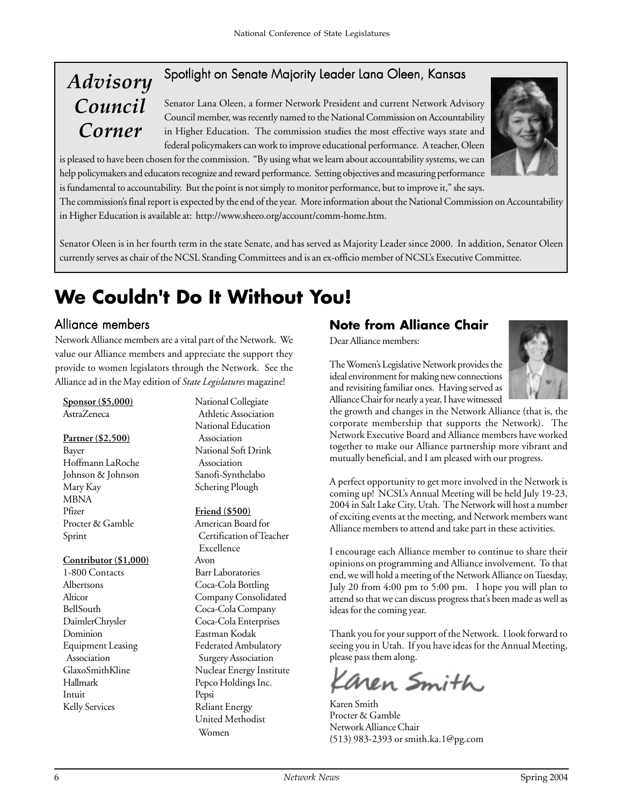### Spotlight on Senate Majority Leader Lana Oleen, Kansas

# *Advisory Council Corner*

Senator Lana Oleen, a former Network President and current Network Advisory Council member, was recently named to the National Commission on Accountability in Higher Education. The commission studies the most effective ways state and federal policymakers can work to improve educational performance. A teacher, Oleen

is pleased to have been chosen for the commission. "By using what we learn about accountability systems, we can help policymakers and educators recognize and reward performance. Setting objectives and measuring performance is fundamental to accountability. But the point is not simply to monitor performance, but to improve it," she says.

The commission's final report is expected by the end of the year. More information about the National Commission on Accountability in Higher Education is available at: http://www.sheeo.org/account/comm-home.htm.

Senator Oleen is in her fourth term in the state Senate, and has served as Majority Leader since 2000. In addition, Senator Oleen currently serves as chair of the NCSL Standing Committees and is an ex-officio member of NCSL's Executive Committee.

# **We Couldn't Do It Without You!**

Network Alliance members are a vital part of the Network. We value our Alliance members and appreciate the support they provide to women legislators through the Network. See the Alliance ad in the May edition of *State Legislatures* magazine!

#### **Sponsor (\$5,000)** AstraZeneca

#### **Partner (\$2,500)**

Bayer Hoffmann LaRoche Johnson & Johnson Mary Kay MBNA Pfizer Procter & Gamble Sprint

#### **Contributor (\$1,000)**

1-800 Contacts Albertsons Alticor BellSouth DaimlerChrysler Dominion Equipment Leasing Association GlaxoSmithKline Hallmark Intuit Kelly Services

National Collegiate Athletic Association National Education Association National Soft Drink Association Sanofi-Synthelabo Schering Plough

#### **Friend (\$500)**

American Board for Certification of Teacher Excellence Avon Barr Laboratories Coca-Cola Bottling Company Consolidated Coca-Cola Company Coca-Cola Enterprises Eastman Kodak Federated Ambulatory Surgery Association Nuclear Energy Institute Pepco Holdings Inc. Pepsi Reliant Energy United Methodist Women

#### Alliance members **Note from Alliance Chair**

Dear Alliance members:

The Women's Legislative Network provides the ideal environment for making new connections and revisiting familiar ones. Having served as Alliance Chair for nearly a year, I have witnessed



the growth and changes in the Network Alliance (that is, the corporate membership that supports the Network). The Network Executive Board and Alliance members have worked together to make our Alliance partnership more vibrant and mutually beneficial, and I am pleased with our progress.

A perfect opportunity to get more involved in the Network is coming up! NCSL's Annual Meeting will be held July 19-23, 2004 in Salt Lake City, Utah. The Network will host a number of exciting events at the meeting, and Network members want Alliance members to attend and take part in these activities.

I encourage each Alliance member to continue to share their opinions on programming and Alliance involvement. To that end, we will hold a meeting of the Network Alliance on Tuesday, July 20 from 4:00 pm to 5:00 pm. I hope you will plan to attend so that we can discuss progress that's been made as well as ideas for the coming year.

Thank you for your support of the Network. I look forward to seeing you in Utah. If you have ideas for the Annual Meeting, please pass them along.

aren Smith

Karen Smith Procter & Gamble Network Alliance Chair (513) 983-2393 or smith.ka.1@pg.com

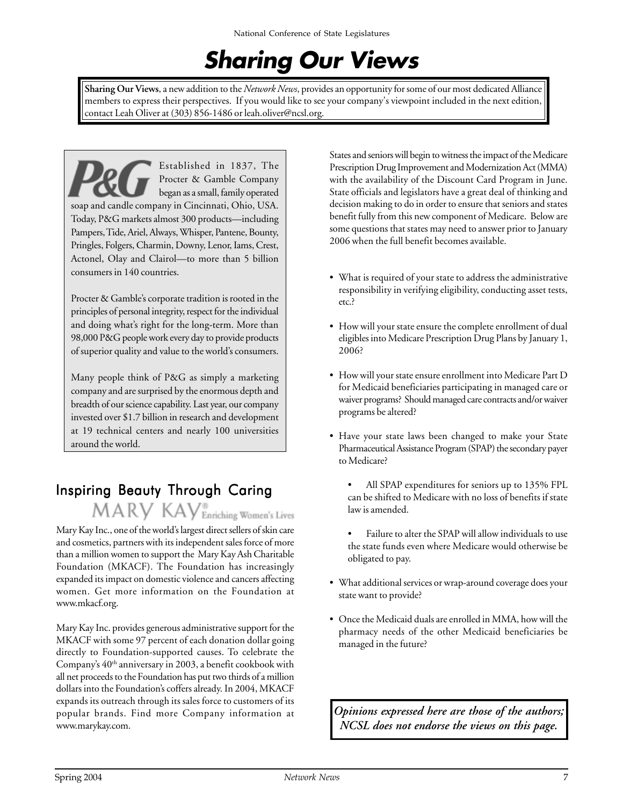# **Sharing Our Views**

**Sharing Our Views**, a new addition to the *Network News*, provides an opportunity for some of our most dedicated Alliance members to express their perspectives. If you would like to see your company's viewpoint included in the next edition, contact Leah Oliver at (303) 856-1486 or leah.oliver@ncsl.org.

Established in 1837, The Procter & Gamble Company began as a small, family operated soap and candle company in Cincinnati, Ohio, USA. Today, P&G markets almost 300 products—including Pampers, Tide, Ariel, Always, Whisper, Pantene, Bounty, Pringles, Folgers, Charmin, Downy, Lenor, Iams, Crest, Actonel, Olay and Clairol—to more than 5 billion consumers in 140 countries.

Procter & Gamble's corporate tradition is rooted in the principles of personal integrity, respect for the individual and doing what's right for the long-term. More than 98,000 P&G people work every day to provide products of superior quality and value to the world's consumers.

Many people think of P&G as simply a marketing company and are surprised by the enormous depth and breadth of our science capability. Last year, our company invested over \$1.7 billion in research and development at 19 technical centers and nearly 100 universities around the world.

## Inspiring Beauty Through Caring

MARY KAY<sup>®</sup> Enriching Women's Lives

Mary Kay Inc., one of the world's largest direct sellers of skin care and cosmetics, partners with its independent sales force of more than a million women to support the Mary Kay Ash Charitable Foundation (MKACF). The Foundation has increasingly expanded its impact on domestic violence and cancers affecting women. Get more information on the Foundation at www.mkacf.org.

Mary Kay Inc. provides generous administrative support for the MKACF with some 97 percent of each donation dollar going directly to Foundation-supported causes. To celebrate the Company's 40<sup>th</sup> anniversary in 2003, a benefit cookbook with all net proceeds to the Foundation has put two thirds of a million dollars into the Foundation's coffers already. In 2004, MKACF expands its outreach through its sales force to customers of its popular brands. Find more Company information at www.marykay.com.

States and seniors will begin to witness the impact of the Medicare Prescription Drug Improvement and Modernization Act (MMA) with the availability of the Discount Card Program in June. State officials and legislators have a great deal of thinking and decision making to do in order to ensure that seniors and states benefit fully from this new component of Medicare. Below are some questions that states may need to answer prior to January 2006 when the full benefit becomes available.

- What is required of your state to address the administrative responsibility in verifying eligibility, conducting asset tests, etc.?
- How will your state ensure the complete enrollment of dual eligibles into Medicare Prescription Drug Plans by January 1, 2006?
- How will your state ensure enrollment into Medicare Part D for Medicaid beneficiaries participating in managed care or waiver programs? Should managed care contracts and/or waiver programs be altered?
- Have your state laws been changed to make your State Pharmaceutical Assistance Program (SPAP) the secondary payer to Medicare?
	- All SPAP expenditures for seniors up to 135% FPL can be shifted to Medicare with no loss of benefits if state law is amended.
	- Failure to alter the SPAP will allow individuals to use the state funds even where Medicare would otherwise be obligated to pay.
- What additional services or wrap-around coverage does your state want to provide?
- Once the Medicaid duals are enrolled in MMA, how will the pharmacy needs of the other Medicaid beneficiaries be managed in the future?

*Opinions expressed here are those of the authors; NCSL does not endorse the views on this page.*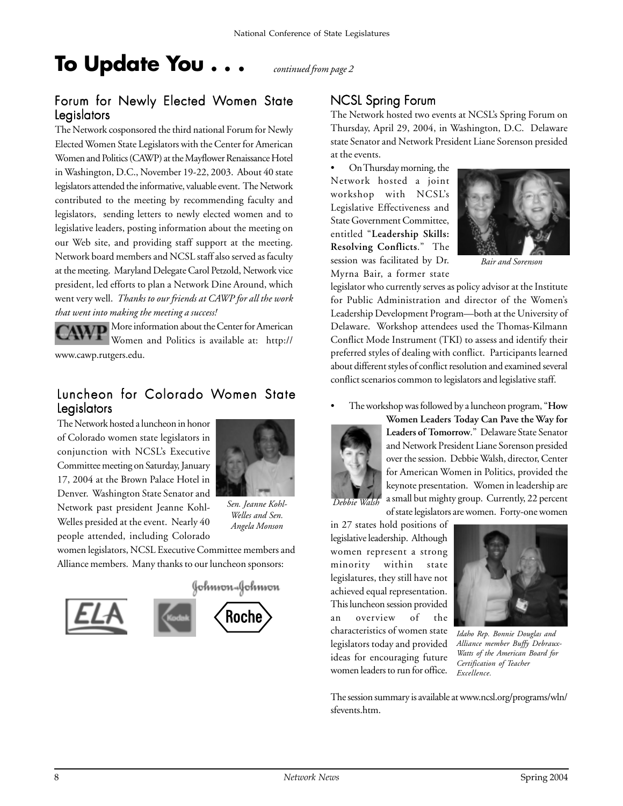# **To Update You . . .** *continued from page 2*

#### Forum for Newly Elected Women State Legislators

The Network cosponsored the third national Forum for Newly Elected Women State Legislators with the Center for American Women and Politics (CAWP) at the Mayflower Renaissance Hotel in Washington, D.C., November 19-22, 2003. About 40 state legislators attended the informative, valuable event. The Network contributed to the meeting by recommending faculty and legislators, sending letters to newly elected women and to legislative leaders, posting information about the meeting on our Web site, and providing staff support at the meeting. Network board members and NCSL staff also served as faculty at the meeting. Maryland Delegate Carol Petzold, Network vice president, led efforts to plan a Network Dine Around, which went very well. *Thanks to our friends at CAWP for all the work that went into making the meeting a success!*

More information about the Center for American Women and Politics is available at: http:// www.cawp.rutgers.edu.

#### Luncheon for Colorado Women State Legislators

The Network hosted a luncheon in honor of Colorado women state legislators in conjunction with NCSL's Executive Committee meeting on Saturday, January 17, 2004 at the Brown Palace Hotel in Denver. Washington State Senator and Network past president Jeanne Kohl-Welles presided at the event. Nearly 40 people attended, including Colorado



*Sen. Jeanne Kohl-Welles and Sen. Angela Monson*

women legislators, NCSL Executive Committee members and Alliance members. Many thanks to our luncheon sponsors:



#### NCSL Spring Forum

The Network hosted two events at NCSL's Spring Forum on Thursday, April 29, 2004, in Washington, D.C. Delaware state Senator and Network President Liane Sorenson presided at the events.

• On Thursday morning, the Network hosted a joint workshop with NCSL's Legislative Effectiveness and State Government Committee, entitled "**Leadership Skills: Resolving Conflicts**." The session was facilitated by Dr. Myrna Bair, a former state



*Bair and Sorenson*

legislator who currently serves as policy advisor at the Institute for Public Administration and director of the Women's Leadership Development Program—both at the University of Delaware. Workshop attendees used the Thomas-Kilmann Conflict Mode Instrument (TKI) to assess and identify their preferred styles of dealing with conflict. Participants learned about different styles of conflict resolution and examined several conflict scenarios common to legislators and legislative staff.

• The workshop was followed by a luncheon program, "**How**



**Women Leaders Today Can Pave the Way for Leaders of Tomorrow**." Delaware State Senator and Network President Liane Sorenson presided over the session. Debbie Walsh, director, Center for American Women in Politics, provided the keynote presentation. Women in leadership are a small but mighty group. Currently, 22 percent of state legislators are women. Forty-one women

in 27 states hold positions of legislative leadership. Although women represent a strong minority within state legislatures, they still have not achieved equal representation. This luncheon session provided an overview of the characteristics of women state legislators today and provided ideas for encouraging future women leaders to run for office.



*Idaho Rep. Bonnie Douglas and Alliance member Buffy Debraux-Watts of the American Board for Certification of Teacher Excellence.*

The session summary is available at www.ncsl.org/programs/wln/ sfevents.htm.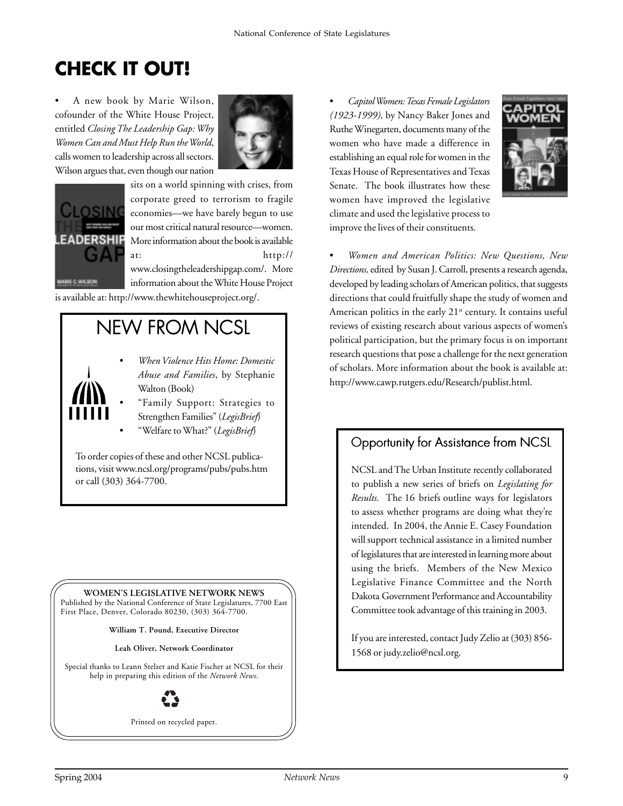# **CHECK IT OUT!**

• A new book by Marie Wilson, cofounder of the White House Project, entitled *Closing The Leadership Gap: Why Women Can and Must Help Run the World*, calls women to leadership across all sectors. Wilson argues that, even though our nation





sits on a world spinning with crises, from corporate greed to terrorism to fragile economies—we have barely begun to use our most critical natural resource—women. More information about the book is available at: http://

www.closingtheleadershipgap.com/. More information about the White House Project

is available at: http://www.thewhitehouseproject.org/.

# **NEW FROM NCSL**

- *When Violence Hits Home: Domestic Abuse and Families*, by Stephanie Walton (Book)
- "Family Support: Strategies to Strengthen Families" (*LegisBrief*)
- "Welfare to What?" (*LegisBrief*)

To order copies of these and other NCSL publications, visit www.ncsl.org/programs/pubs/pubs.htm or call (303) 364-7700.

**WOMEN'S LEGISLATIVE NETWORK NEWS**

Published by the National Conference of State Legislatures, 7700 East First Place, Denver, Colorado 80230, (303) 364-7700.

**William T. Pound, Executive Director**

**Leah Oliver, Network Coordinator**

Special thanks to Leann Stelzer and Katie Fischer at NCSL for their help in preparing this edition of the *Network News*.



Printed on recycled paper.

• *Capitol Women: Texas Female Legislators (1923-1999),* by Nancy Baker Jones and Ruthe Winegarten, documents many of the women who have made a difference in establishing an equal role for women in the Texas House of Representatives and Texas Senate. The book illustrates how these women have improved the legislative climate and used the legislative process to improve the lives of their constituents.



• *Women and American Politics: New Questions, New Directions,* edited by Susan J. Carroll, presents a research agenda, developed by leading scholars of American politics, that suggests directions that could fruitfully shape the study of women and American politics in the early 21<sup>st</sup> century. It contains useful reviews of existing research about various aspects of women's political participation, but the primary focus is on important research questions that pose a challenge for the next generation of scholars. More information about the book is available at: http://www.cawp.rutgers.edu/Research/publist.html.

### Opportunity for Assistance from NCSL

NCSL and The Urban Institute recently collaborated to publish a new series of briefs on *Legislating for Results.* The 16 briefs outline ways for legislators to assess whether programs are doing what they're intended. In 2004, the Annie E. Casey Foundation will support technical assistance in a limited number of legislatures that are interested in learning more about using the briefs. Members of the New Mexico Legislative Finance Committee and the North Dakota Government Performance and Accountability Committee took advantage of this training in 2003.

If you are interested, contact Judy Zelio at (303) 856- 1568 or judy.zelio@ncsl.org.